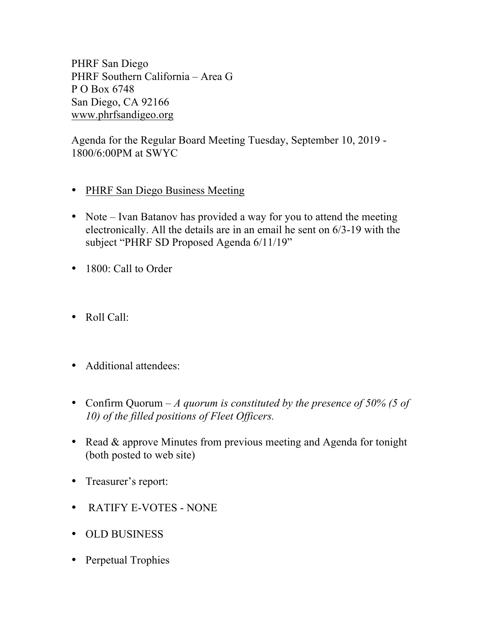PHRF San Diego PHRF Southern California – Area G P O Box 6748 San Diego, CA 92166 www.phrfsandigeo.org

Agenda for the Regular Board Meeting Tuesday, September 10, 2019 - 1800/6:00PM at SWYC

- PHRF San Diego Business Meeting
- Note Ivan Batanov has provided a way for you to attend the meeting electronically. All the details are in an email he sent on 6/3-19 with the subject "PHRF SD Proposed Agenda 6/11/19"
- 1800: Call to Order
- Roll Call:
- Additional attendees:
- Confirm Quorum *A quorum is constituted by the presence of 50% (5 of 10) of the filled positions of Fleet Officers.*
- Read & approve Minutes from previous meeting and Agenda for tonight (both posted to web site)
- Treasurer's report:
- RATIFY E-VOTES NONE
- OLD BUSINESS
- Perpetual Trophies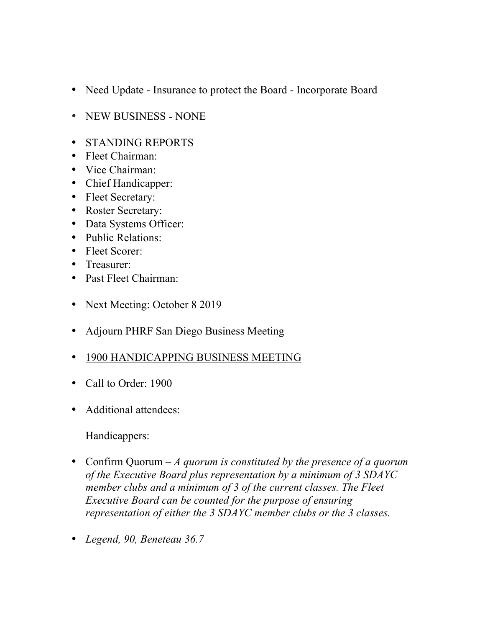- Need Update Insurance to protect the Board Incorporate Board
- NEW BUSINESS NONE
- STANDING REPORTS
- Fleet Chairman:
- Vice Chairman:
- Chief Handicapper:
- Fleet Secretary:
- Roster Secretary:
- Data Systems Officer:
- Public Relations:
- Fleet Scorer:
- Treasurer:
- Past Fleet Chairman:
- Next Meeting: October 8 2019
- Adjourn PHRF San Diego Business Meeting
- 1900 HANDICAPPING BUSINESS MEETING
- Call to Order: 1900
- Additional attendees:

Handicappers:

- Confirm Quorum *A quorum is constituted by the presence of a quorum of the Executive Board plus representation by a minimum of 3 SDAYC member clubs and a minimum of 3 of the current classes. The Fleet Executive Board can be counted for the purpose of ensuring representation of either the 3 SDAYC member clubs or the 3 classes.*
- *Legend, 90, Beneteau 36.7*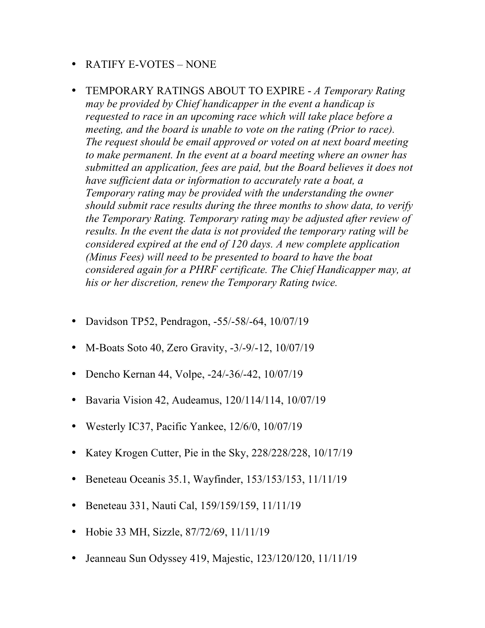## • RATIFY E-VOTES – NONE

- TEMPORARY RATINGS ABOUT TO EXPIRE *A Temporary Rating may be provided by Chief handicapper in the event a handicap is requested to race in an upcoming race which will take place before a meeting, and the board is unable to vote on the rating (Prior to race). The request should be email approved or voted on at next board meeting to make permanent. In the event at a board meeting where an owner has submitted an application, fees are paid, but the Board believes it does not have sufficient data or information to accurately rate a boat, a Temporary rating may be provided with the understanding the owner should submit race results during the three months to show data, to verify the Temporary Rating. Temporary rating may be adjusted after review of results. In the event the data is not provided the temporary rating will be considered expired at the end of 120 days. A new complete application (Minus Fees) will need to be presented to board to have the boat considered again for a PHRF certificate. The Chief Handicapper may, at his or her discretion, renew the Temporary Rating twice.*
- Davidson TP52, Pendragon, -55/-58/-64, 10/07/19
- M-Boats Soto 40, Zero Gravity, -3/-9/-12, 10/07/19
- Dencho Kernan 44, Volpe, -24/-36/-42, 10/07/19
- Bavaria Vision 42, Audeamus, 120/114/114, 10/07/19
- Westerly IC37, Pacific Yankee, 12/6/0, 10/07/19
- Katey Krogen Cutter, Pie in the Sky, 228/228/228, 10/17/19
- Beneteau Oceanis 35.1, Wayfinder, 153/153/153, 11/11/19
- Beneteau 331, Nauti Cal, 159/159/159, 11/11/19
- Hobie 33 MH, Sizzle, 87/72/69, 11/11/19
- Jeanneau Sun Odyssey 419, Majestic, 123/120/120, 11/11/19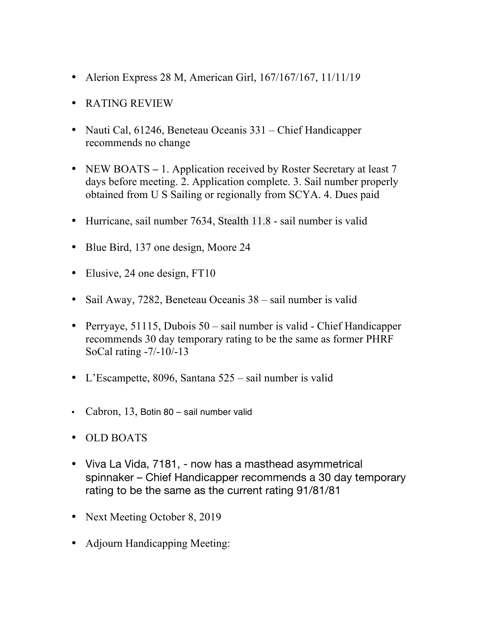- Alerion Express 28 M, American Girl, 167/167/167, 11/11/1*9*
- RATING REVIEW
- Nauti Cal, 61246, Beneteau Oceanis 331 Chief Handicapper recommends no change
- NEW BOATS 1. Application received by Roster Secretary at least 7 days before meeting. 2. Application complete. 3. Sail number properly obtained from U S Sailing or regionally from SCYA. 4. Dues paid
- Hurricane, sail number 7634, Stealth 11.8 sail number is valid
- Blue Bird, 137 one design, Moore 24
- Elusive, 24 one design, FT10
- Sail Away, 7282, Beneteau Oceanis 38 sail number is valid
- Perryaye, 51115, Dubois 50 sail number is valid Chief Handicapper recommends 30 day temporary rating to be the same as former PHRF SoCal rating -7/-10/-13
- L'Escampette, 8096, Santana 525 sail number is valid
- Cabron, 13, Botin 80 sail number valid
- OLD BOATS
- Viva La Vida, 7181, now has a masthead asymmetrical spinnaker – Chief Handicapper recommends a 30 day temporary rating to be the same as the current rating 91/81/81
- Next Meeting October 8, 2019
- Adjourn Handicapping Meeting: